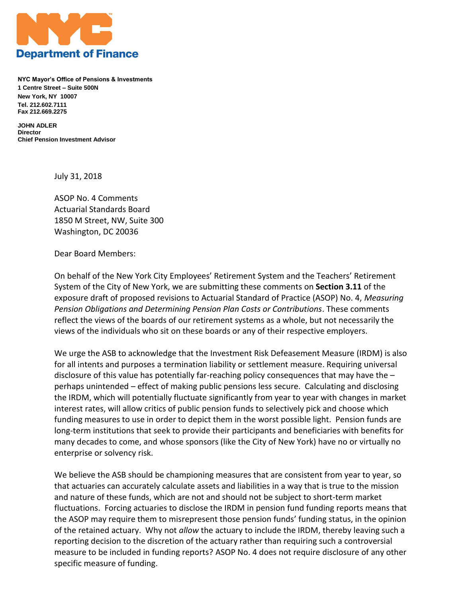

**NYC Mayor's Office of Pensions & Investments 1 Centre Street – Suite 500N New York, NY 10007 Tel. 212.602.7111 Fax 212.669.2275**

**JOHN ADLER Director Chief Pension Investment Advisor**

July 31, 2018

ASOP No. 4 Comments Actuarial Standards Board 1850 M Street, NW, Suite 300 Washington, DC 20036

Dear Board Members:

On behalf of the New York City Employees' Retirement System and the Teachers' Retirement System of the City of New York, we are submitting these comments on **Section 3.11** of the exposure draft of proposed revisions to Actuarial Standard of Practice (ASOP) No. 4, *Measuring Pension Obligations and Determining Pension Plan Costs or Contributions*. These comments reflect the views of the boards of our retirement systems as a whole, but not necessarily the views of the individuals who sit on these boards or any of their respective employers.

We urge the ASB to acknowledge that the Investment Risk Defeasement Measure (IRDM) is also for all intents and purposes a termination liability or settlement measure. Requiring universal disclosure of this value has potentially far-reaching policy consequences that may have the – perhaps unintended – effect of making public pensions less secure. Calculating and disclosing the IRDM, which will potentially fluctuate significantly from year to year with changes in market interest rates, will allow critics of public pension funds to selectively pick and choose which funding measures to use in order to depict them in the worst possible light. Pension funds are long-term institutions that seek to provide their participants and beneficiaries with benefits for many decades to come, and whose sponsors (like the City of New York) have no or virtually no enterprise or solvency risk.

We believe the ASB should be championing measures that are consistent from year to year, so that actuaries can accurately calculate assets and liabilities in a way that is true to the mission and nature of these funds, which are not and should not be subject to short-term market fluctuations. Forcing actuaries to disclose the IRDM in pension fund funding reports means that the ASOP may require them to misrepresent those pension funds' funding status, in the opinion of the retained actuary. Why not *allow* the actuary to include the IRDM, thereby leaving such a reporting decision to the discretion of the actuary rather than requiring such a controversial measure to be included in funding reports? ASOP No. 4 does not require disclosure of any other specific measure of funding.